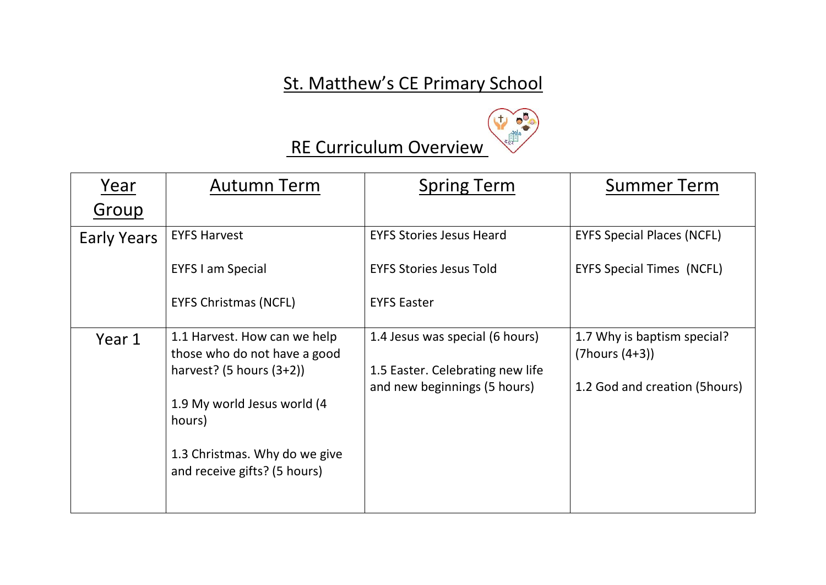## St. Matthew's CE Primary School



## RE Curriculum Overview

| Year               | <b>Autumn Term</b>                                            | <b>Spring Term</b>                                               | <b>Summer Term</b>                                  |
|--------------------|---------------------------------------------------------------|------------------------------------------------------------------|-----------------------------------------------------|
| Group              |                                                               |                                                                  |                                                     |
| <b>Early Years</b> | <b>EYFS Harvest</b>                                           | <b>EYFS Stories Jesus Heard</b>                                  | <b>EYFS Special Places (NCFL)</b>                   |
|                    | <b>EYFS I am Special</b>                                      | <b>EYFS Stories Jesus Told</b>                                   | <b>EYFS Special Times (NCFL)</b>                    |
|                    | <b>EYFS Christmas (NCFL)</b>                                  | <b>EYFS Easter</b>                                               |                                                     |
| Year 1             | 1.1 Harvest. How can we help<br>those who do not have a good  | 1.4 Jesus was special (6 hours)                                  | 1.7 Why is baptism special?<br>$(7$ hours $(4+3)$ ) |
|                    | harvest? $(5 \text{ hours } (3+2))$                           | 1.5 Easter. Celebrating new life<br>and new beginnings (5 hours) | 1.2 God and creation (5hours)                       |
|                    | 1.9 My world Jesus world (4<br>hours)                         |                                                                  |                                                     |
|                    | 1.3 Christmas. Why do we give<br>and receive gifts? (5 hours) |                                                                  |                                                     |
|                    |                                                               |                                                                  |                                                     |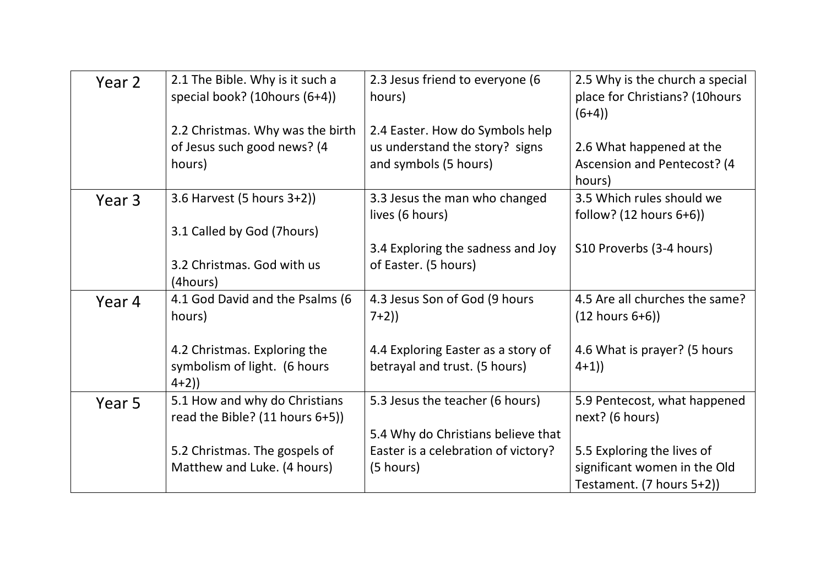| Year 2 | 2.1 The Bible. Why is it such a<br>special book? (10hours (6+4))          | 2.3 Jesus friend to everyone (6<br>hours)                                                  | 2.5 Why is the church a special<br>place for Christians? (10hours<br>$(6+4)$            |
|--------|---------------------------------------------------------------------------|--------------------------------------------------------------------------------------------|-----------------------------------------------------------------------------------------|
|        | 2.2 Christmas. Why was the birth<br>of Jesus such good news? (4<br>hours) | 2.4 Easter. How do Symbols help<br>us understand the story? signs<br>and symbols (5 hours) | 2.6 What happened at the<br>Ascension and Pentecost? (4<br>hours)                       |
| Year 3 | 3.6 Harvest (5 hours 3+2))                                                | 3.3 Jesus the man who changed<br>lives (6 hours)                                           | 3.5 Which rules should we<br>follow? $(12 \text{ hours } 6+6)$                          |
|        | 3.1 Called by God (7hours)<br>3.2 Christmas. God with us<br>(4hours)      | 3.4 Exploring the sadness and Joy<br>of Easter. (5 hours)                                  | S10 Proverbs (3-4 hours)                                                                |
| Year 4 | 4.1 God David and the Psalms (6<br>hours)                                 | 4.3 Jesus Son of God (9 hours<br>$7+2)$                                                    | 4.5 Are all churches the same?<br>$(12 \text{ hours } 6+6))$                            |
|        | 4.2 Christmas. Exploring the<br>symbolism of light. (6 hours<br>$4+2)$    | 4.4 Exploring Easter as a story of<br>betrayal and trust. (5 hours)                        | 4.6 What is prayer? (5 hours<br>$4+1)$                                                  |
| Year 5 | 5.1 How and why do Christians<br>read the Bible? (11 hours 6+5))          | 5.3 Jesus the teacher (6 hours)                                                            | 5.9 Pentecost, what happened<br>next? (6 hours)                                         |
|        | 5.2 Christmas. The gospels of<br>Matthew and Luke. (4 hours)              | 5.4 Why do Christians believe that<br>Easter is a celebration of victory?<br>(5 hours)     | 5.5 Exploring the lives of<br>significant women in the Old<br>Testament. (7 hours 5+2)) |